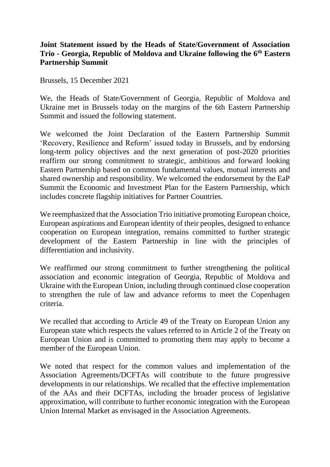## **Joint Statement issued by the Heads of State/Government of Association Trio - Georgia, Republic of Moldova and Ukraine following the 6th Eastern Partnership Summit**

Brussels, 15 December 2021

We, the Heads of State/Government of Georgia, Republic of Moldova and Ukraine met in Brussels today on the margins of the 6th Eastern Partnership Summit and issued the following statement.

We welcomed the Joint Declaration of the Eastern Partnership Summit 'Recovery, Resilience and Reform' issued today in Brussels, and by endorsing long-term policy objectives and the next generation of post-2020 priorities reaffirm our strong commitment to strategic, ambitious and forward looking Eastern Partnership based on common fundamental values, mutual interests and shared ownership and responsibility. We welcomed the endorsement by the EaP Summit the Economic and Investment Plan for the Eastern Partnership, which includes concrete flagship initiatives for Partner Countries.

We reemphasized that the Association Trio initiative promoting European choice, European aspirations and European identity of their peoples, designed to enhance cooperation on European integration, remains committed to further strategic development of the Eastern Partnership in line with the principles of differentiation and inclusivity.

We reaffirmed our strong commitment to further strengthening the political association and economic integration of Georgia, Republic of Moldova and Ukraine with the European Union, including through continued close cooperation to strengthen the rule of law and advance reforms to meet the Copenhagen criteria.

We recalled that according to Article 49 of the Treaty on European Union any European state which respects the values referred to in Article 2 of the Treaty on European Union and is committed to promoting them may apply to become a member of the European Union.

We noted that respect for the common values and implementation of the Association Agreements/DCFTAs will contribute to the future progressive developments in our relationships. We recalled that the effective implementation of the AAs and their DCFTAs, including the broader process of legislative approximation, will contribute to further economic integration with the European Union Internal Market as envisaged in the Association Agreements.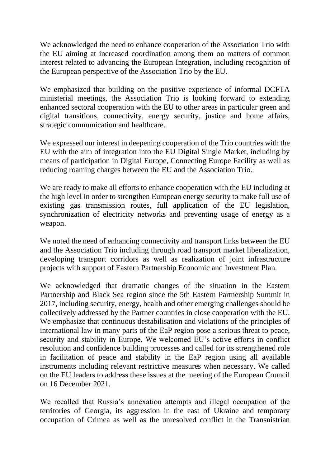We acknowledged the need to enhance cooperation of the Association Trio with the EU aiming at increased coordination among them on matters of common interest related to advancing the European Integration, including recognition of the European perspective of the Association Trio by the EU.

We emphasized that building on the positive experience of informal DCFTA ministerial meetings, the Association Trio is looking forward to extending enhanced sectoral cooperation with the EU to other areas in particular green and digital transitions, connectivity, energy security, justice and home affairs, strategic communication and healthcare.

We expressed our interest in deepening cooperation of the Trio countries with the EU with the aim of integration into the EU Digital Single Market, including by means of participation in Digital Europe, Connecting Europe Facility as well as reducing roaming charges between the EU and the Association Trio.

We are ready to make all efforts to enhance cooperation with the EU including at the high level in order to strengthen European energy security to make full use of existing gas transmission routes, full application of the EU legislation, synchronization of electricity networks and preventing usage of energy as a weapon.

We noted the need of enhancing connectivity and transport links between the EU and the Association Trio including through road transport market liberalization, developing transport corridors as well as realization of joint infrastructure projects with support of Eastern Partnership Economic and Investment Plan.

We acknowledged that dramatic changes of the situation in the Eastern Partnership and Black Sea region since the 5th Eastern Partnership Summit in 2017, including security, energy, health and other emerging challenges should be collectively addressed by the Partner countries in close cooperation with the EU. We emphasize that continuous destabilisation and violations of the principles of international law in many parts of the EaP region pose a serious threat to peace, security and stability in Europe. We welcomed EU's active efforts in conflict resolution and confidence building processes and called for its strengthened role in facilitation of peace and stability in the EaP region using all available instruments including relevant restrictive measures when necessary. We called on the EU leaders to address these issues at the meeting of the European Council on 16 December 2021.

We recalled that Russia's annexation attempts and illegal occupation of the territories of Georgia, its aggression in the east of Ukraine and temporary occupation of Crimea as well as the unresolved conflict in the Transnistrian